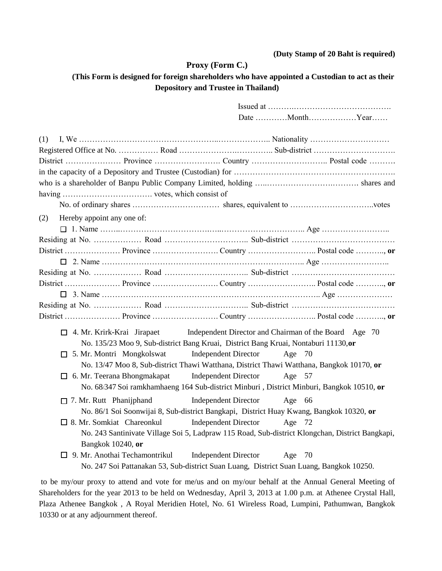#### **(Duty Stamp of 20 Baht is required)**

#### **Proxy (Form C.)**

### **(This Form is designed for foreign shareholders who have appointed a Custodian to act as their Depository and Trustee in Thailand)**

|                                                                                         |                                    |                                                                                         | Date MonthYear                                                                                  |  |
|-----------------------------------------------------------------------------------------|------------------------------------|-----------------------------------------------------------------------------------------|-------------------------------------------------------------------------------------------------|--|
| (1)                                                                                     |                                    |                                                                                         |                                                                                                 |  |
|                                                                                         |                                    |                                                                                         |                                                                                                 |  |
|                                                                                         |                                    |                                                                                         |                                                                                                 |  |
|                                                                                         |                                    |                                                                                         |                                                                                                 |  |
|                                                                                         |                                    |                                                                                         |                                                                                                 |  |
|                                                                                         |                                    |                                                                                         |                                                                                                 |  |
|                                                                                         |                                    |                                                                                         |                                                                                                 |  |
| Hereby appoint any one of:<br>(2)                                                       |                                    |                                                                                         |                                                                                                 |  |
|                                                                                         |                                    |                                                                                         |                                                                                                 |  |
|                                                                                         |                                    |                                                                                         |                                                                                                 |  |
|                                                                                         |                                    |                                                                                         |                                                                                                 |  |
|                                                                                         |                                    |                                                                                         |                                                                                                 |  |
|                                                                                         |                                    |                                                                                         |                                                                                                 |  |
|                                                                                         |                                    |                                                                                         |                                                                                                 |  |
|                                                                                         |                                    |                                                                                         |                                                                                                 |  |
|                                                                                         |                                    |                                                                                         |                                                                                                 |  |
|                                                                                         |                                    |                                                                                         |                                                                                                 |  |
|                                                                                         | $\Box$ 4. Mr. Krirk-Krai Jirapaet  |                                                                                         | Independent Director and Chairman of the Board Age 70                                           |  |
|                                                                                         |                                    | No. 135/23 Moo 9, Sub-district Bang Kruai, District Bang Kruai, Nontaburi 11130,or      |                                                                                                 |  |
|                                                                                         | $\Box$ 5. Mr. Montri Mongkolswat   | <b>Independent Director</b>                                                             | Age $70$                                                                                        |  |
|                                                                                         |                                    |                                                                                         | No. 13/47 Moo 8, Sub-district Thawi Watthana, District Thawi Watthana, Bangkok 10170, or        |  |
|                                                                                         | $\Box$ 6. Mr. Teerana Bhongmakapat | <b>Independent Director</b>                                                             | Age 57                                                                                          |  |
|                                                                                         |                                    |                                                                                         | No. 68/347 Soi ramkhamhaeng 164 Sub-district Minburi, District Minburi, Bangkok 10510, or       |  |
|                                                                                         | $\Box$ 7. Mr. Rutt Phanijphand     | <b>Independent Director</b>                                                             | Age 66                                                                                          |  |
|                                                                                         |                                    | No. 86/1 Soi Soonwijai 8, Sub-district Bangkapi, District Huay Kwang, Bangkok 10320, or |                                                                                                 |  |
|                                                                                         | $\Box$ 8. Mr. Somkiat Chareonkul   | <b>Independent Director</b>                                                             | Age 72                                                                                          |  |
|                                                                                         |                                    |                                                                                         | No. 243 Santinivate Village Soi 5, Ladpraw 115 Road, Sub-district Klongchan, District Bangkapi, |  |
|                                                                                         | Bangkok 10240, or                  |                                                                                         |                                                                                                 |  |
|                                                                                         |                                    | $\Box$ 9. Mr. Anothai Techamontrikul Independent Director                               | Age $70$                                                                                        |  |
| No. 247 Soi Pattanakan 53, Sub-district Suan Luang, District Suan Luang, Bangkok 10250. |                                    |                                                                                         |                                                                                                 |  |

to be my/our proxy to attend and vote for me/us and on my/our behalf at the Annual General Meeting of Shareholders for the year 2013 to be held on Wednesday, April 3, 2013 at 1.00 p.m. at Athenee Crystal Hall, Plaza Athenee Bangkok , A Royal Meridien Hotel, No. 61 Wireless Road, Lumpini, Pathumwan, Bangkok 10330 or at any adjournment thereof.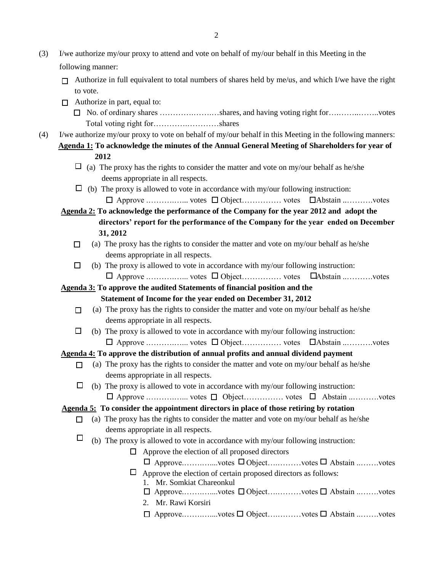- (3) I/we authorize my/our proxy to attend and vote on behalf of my/our behalf in this Meeting in the following manner:
	- $\Box$  Authorize in full equivalent to total numbers of shares held by me/us, and which I/we have the right to vote.
	- $\Box$  Authorize in part, equal to:
		- No. of ordinary shares ………….…….…shares, and having voting right for….……..……..votes Total voting right for………….…………shares
- (4) I/we authorize my/our proxy to vote on behalf of my/our behalf in this Meeting in the following manners: **Agenda 1: To acknowledge the minutes of the Annual General Meeting of Shareholders for year of 2012**
	- $\Box$  (a) The proxy has the rights to consider the matter and vote on my/our behalf as he/she deems appropriate in all respects.
	- $\Box$  (b) The proxy is allowed to vote in accordance with my/our following instruction: Approve .……….…... votes Object…………… votes Abstain ..……….votes
	- **Agenda 2: To acknowledge the performance of the Company for the year 2012 and adopt the directors' report for the performance of the Company for the year ended on December 31, 2012** 
		- $\Box$  (a) The proxy has the rights to consider the matter and vote on my/our behalf as he/she deems appropriate in all respects.
		- $\Box$  (b) The proxy is allowed to vote in accordance with my/our following instruction: Approve .……….…... votes Object…………… votes Abstain ..……….votes

**Agenda 3: To approve the audited Statements of financial position and the** 

 **Statement of Income for the year ended on December 31, 2012**

- $\Box$  (a) The proxy has the rights to consider the matter and vote on my/our behalf as he/she deems appropriate in all respects.
- $\Box$  (b) The proxy is allowed to vote in accordance with my/our following instruction: Approve .……….…... votes Object…………… votes Abstain ..……….votes

# **Agenda 4: To approve the distribution of annual profits and annual dividend payment**

- $\Box$  (a) The proxy has the rights to consider the matter and vote on my/our behalf as he/she deems appropriate in all respects.
- $\Box$  (b) The proxy is allowed to vote in accordance with my/our following instruction: Approve .……….…... votes Object…………… votes Abstain ..……….votes

# **Agenda 5: To consider the appointment directors in place of those retiring by rotation**

- $\Box$  (a) The proxy has the rights to consider the matter and vote on my/our behalf as he/she deems appropriate in all respects.
- $\Box$  (b) The proxy is allowed to vote in accordance with my/our following instruction:
	- $\Box$  Approve the election of all proposed directors
		- Approve.…….…....votes Object….………votes Abstain ..…….votes
	- $\Box$  Approve the election of certain proposed directors as follows:
		- 1. Mr. Somkiat Chareonkul
		- Approve.…….…....votes Object….………votes Abstain ..…….votes
		- 2. Mr. Rawi Korsiri
		- Approve.…….…....votes Object….………votes Abstain ..…….votes